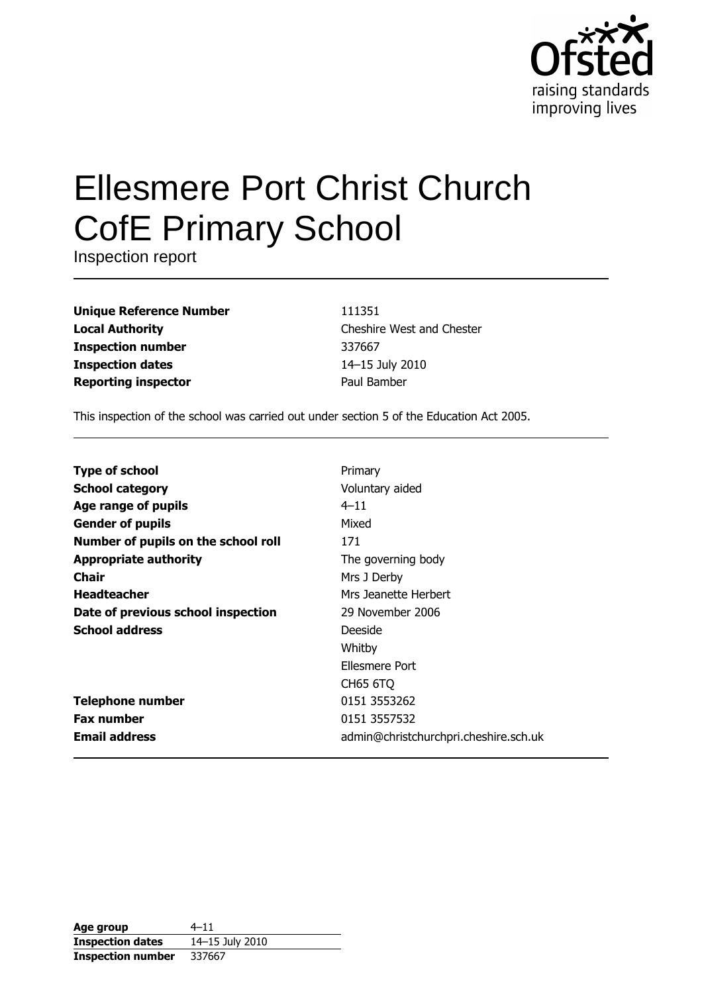

# **Ellesmere Port Christ Church CofE Primary School**

Inspection report

| <b>Unique Reference Number</b> |
|--------------------------------|
| <b>Local Authority</b>         |
| <b>Inspection number</b>       |
| <b>Inspection dates</b>        |
| <b>Reporting inspector</b>     |

111351 Cheshire West and Chester 337667 14-15 July 2010 Paul Bamber

This inspection of the school was carried out under section 5 of the Education Act 2005.

| <b>Type of school</b>               | Primary                               |
|-------------------------------------|---------------------------------------|
| <b>School category</b>              | Voluntary aided                       |
| Age range of pupils                 | $4 - 11$                              |
| <b>Gender of pupils</b>             | Mixed                                 |
| Number of pupils on the school roll | 171                                   |
| <b>Appropriate authority</b>        | The governing body                    |
| Chair                               | Mrs J Derby                           |
| <b>Headteacher</b>                  | Mrs Jeanette Herbert                  |
| Date of previous school inspection  | 29 November 2006                      |
| <b>School address</b>               | Deeside                               |
|                                     | Whitby                                |
|                                     | Ellesmere Port                        |
|                                     | CH65 6TQ                              |
| <b>Telephone number</b>             | 0151 3553262                          |
| <b>Fax number</b>                   | 0151 3557532                          |
| <b>Email address</b>                | admin@christchurchpri.cheshire.sch.uk |

| Age group                | $4 - 11$        |
|--------------------------|-----------------|
| <b>Inspection dates</b>  | 14-15 July 2010 |
| <b>Inspection number</b> | 337667          |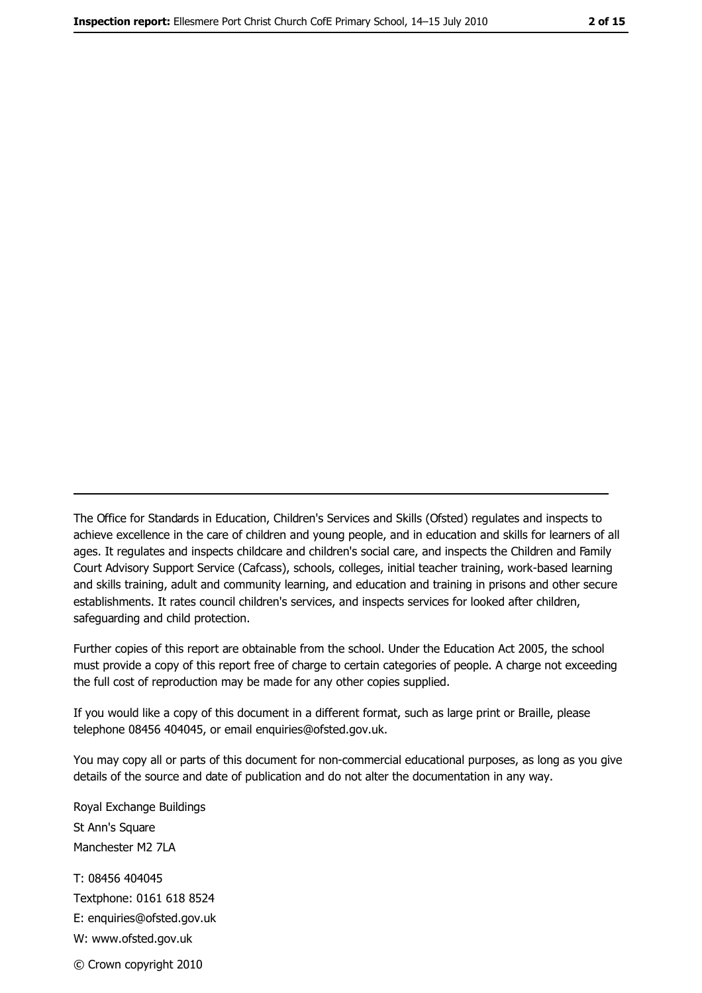The Office for Standards in Education, Children's Services and Skills (Ofsted) regulates and inspects to achieve excellence in the care of children and young people, and in education and skills for learners of all ages. It regulates and inspects childcare and children's social care, and inspects the Children and Family Court Advisory Support Service (Cafcass), schools, colleges, initial teacher training, work-based learning and skills training, adult and community learning, and education and training in prisons and other secure establishments. It rates council children's services, and inspects services for looked after children, safequarding and child protection.

Further copies of this report are obtainable from the school. Under the Education Act 2005, the school must provide a copy of this report free of charge to certain categories of people. A charge not exceeding the full cost of reproduction may be made for any other copies supplied.

If you would like a copy of this document in a different format, such as large print or Braille, please telephone 08456 404045, or email enquiries@ofsted.gov.uk.

You may copy all or parts of this document for non-commercial educational purposes, as long as you give details of the source and date of publication and do not alter the documentation in any way.

Royal Exchange Buildings St Ann's Square Manchester M2 7LA T: 08456 404045 Textphone: 0161 618 8524 E: enquiries@ofsted.gov.uk W: www.ofsted.gov.uk © Crown copyright 2010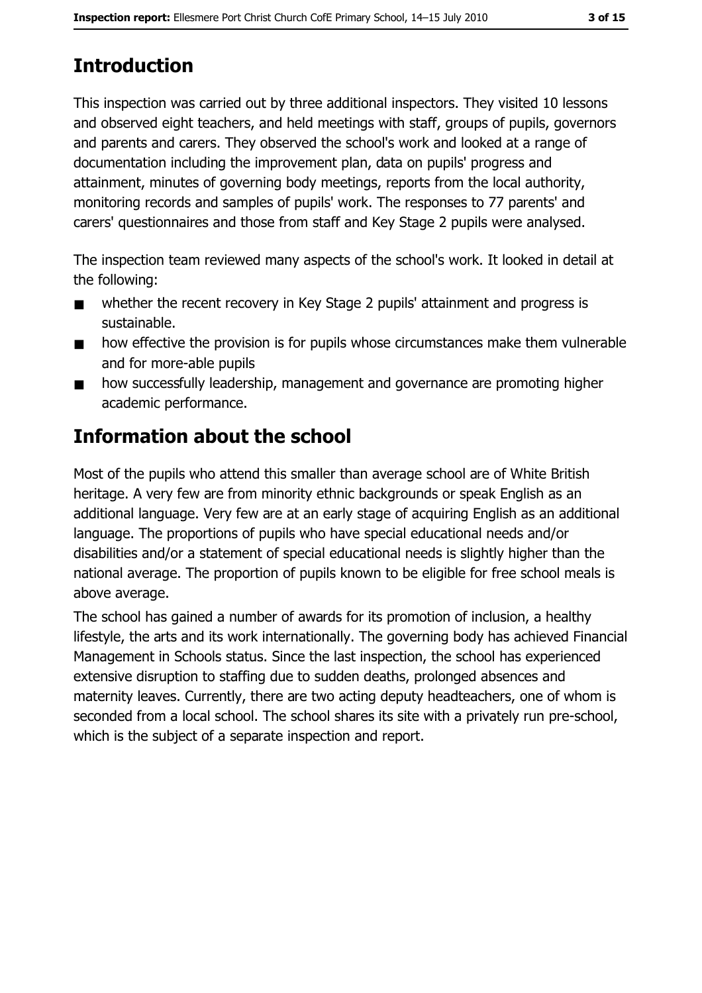# **Introduction**

This inspection was carried out by three additional inspectors. They visited 10 lessons and observed eight teachers, and held meetings with staff, groups of pupils, governors and parents and carers. They observed the school's work and looked at a range of documentation including the improvement plan, data on pupils' progress and attainment, minutes of governing body meetings, reports from the local authority, monitoring records and samples of pupils' work. The responses to 77 parents' and carers' questionnaires and those from staff and Key Stage 2 pupils were analysed.

The inspection team reviewed many aspects of the school's work. It looked in detail at the following:

- whether the recent recovery in Key Stage 2 pupils' attainment and progress is  $\blacksquare$ sustainable.
- how effective the provision is for pupils whose circumstances make them vulnerable  $\blacksquare$ and for more-able pupils
- how successfully leadership, management and governance are promoting higher  $\blacksquare$ academic performance.

# **Information about the school**

Most of the pupils who attend this smaller than average school are of White British heritage. A very few are from minority ethnic backgrounds or speak English as an additional language. Very few are at an early stage of acquiring English as an additional language. The proportions of pupils who have special educational needs and/or disabilities and/or a statement of special educational needs is slightly higher than the national average. The proportion of pupils known to be eligible for free school meals is above average.

The school has gained a number of awards for its promotion of inclusion, a healthy lifestyle, the arts and its work internationally. The governing body has achieved Financial Management in Schools status. Since the last inspection, the school has experienced extensive disruption to staffing due to sudden deaths, prolonged absences and maternity leaves. Currently, there are two acting deputy headteachers, one of whom is seconded from a local school. The school shares its site with a privately run pre-school, which is the subject of a separate inspection and report.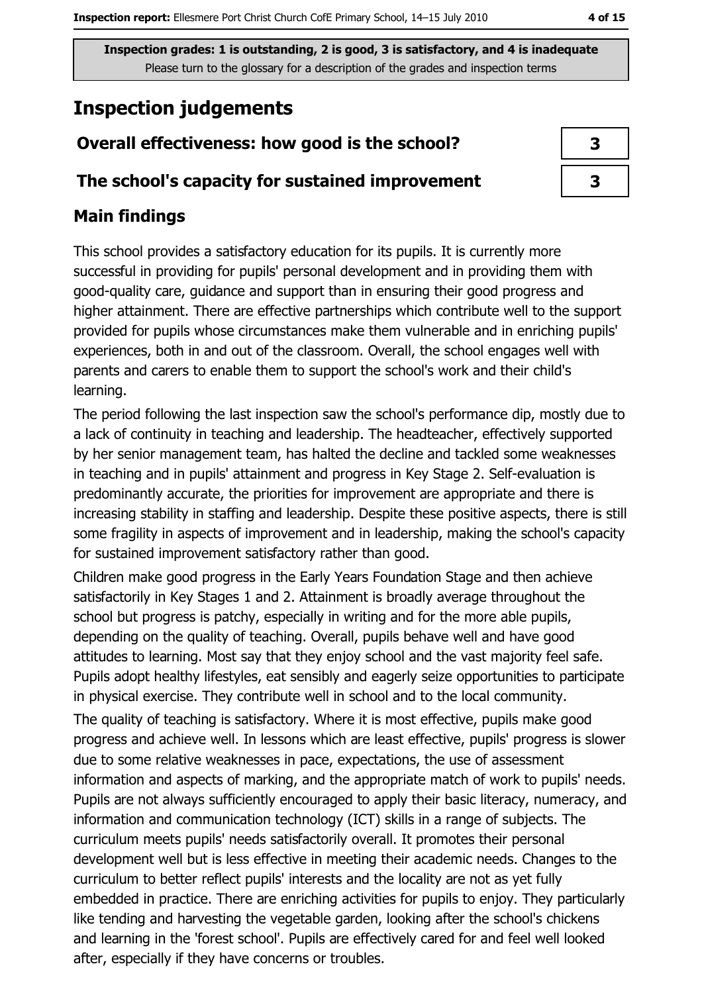# **Inspection judgements**

# Overall effectiveness: how good is the school?

## The school's capacity for sustained improvement

# **Main findings**

This school provides a satisfactory education for its pupils. It is currently more successful in providing for pupils' personal development and in providing them with good-quality care, quidance and support than in ensuring their good progress and higher attainment. There are effective partnerships which contribute well to the support provided for pupils whose circumstances make them vulnerable and in enriching pupils' experiences, both in and out of the classroom. Overall, the school engages well with parents and carers to enable them to support the school's work and their child's learning.

The period following the last inspection saw the school's performance dip, mostly due to a lack of continuity in teaching and leadership. The headteacher, effectively supported by her senior management team, has halted the decline and tackled some weaknesses in teaching and in pupils' attainment and progress in Key Stage 2. Self-evaluation is predominantly accurate, the priorities for improvement are appropriate and there is increasing stability in staffing and leadership. Despite these positive aspects, there is still some fragility in aspects of improvement and in leadership, making the school's capacity for sustained improvement satisfactory rather than good.

Children make good progress in the Early Years Foundation Stage and then achieve satisfactorily in Key Stages 1 and 2. Attainment is broadly average throughout the school but progress is patchy, especially in writing and for the more able pupils, depending on the quality of teaching. Overall, pupils behave well and have good attitudes to learning. Most say that they enjoy school and the vast majority feel safe. Pupils adopt healthy lifestyles, eat sensibly and eagerly seize opportunities to participate in physical exercise. They contribute well in school and to the local community.

The quality of teaching is satisfactory. Where it is most effective, pupils make good progress and achieve well. In lessons which are least effective, pupils' progress is slower due to some relative weaknesses in pace, expectations, the use of assessment information and aspects of marking, and the appropriate match of work to pupils' needs. Pupils are not always sufficiently encouraged to apply their basic literacy, numeracy, and information and communication technology (ICT) skills in a range of subjects. The curriculum meets pupils' needs satisfactorily overall. It promotes their personal development well but is less effective in meeting their academic needs. Changes to the curriculum to better reflect pupils' interests and the locality are not as yet fully embedded in practice. There are enriching activities for pupils to enjoy. They particularly like tending and harvesting the vegetable garden, looking after the school's chickens and learning in the 'forest school'. Pupils are effectively cared for and feel well looked after, especially if they have concerns or troubles.

| 3 |  |
|---|--|
| 3 |  |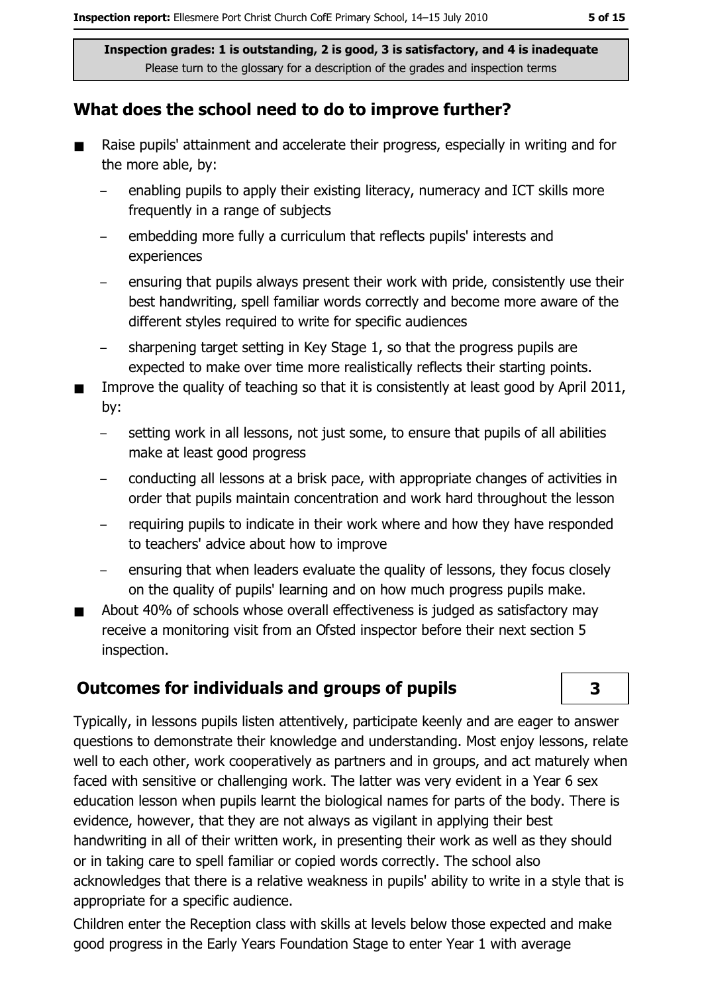## What does the school need to do to improve further?

- Raise pupils' attainment and accelerate their progress, especially in writing and for  $\blacksquare$ the more able, by:
	- enabling pupils to apply their existing literacy, numeracy and ICT skills more frequently in a range of subjects
	- embedding more fully a curriculum that reflects pupils' interests and experiences
	- ensuring that pupils always present their work with pride, consistently use their best handwriting, spell familiar words correctly and become more aware of the different styles required to write for specific audiences
	- sharpening target setting in Key Stage 1, so that the progress pupils are expected to make over time more realistically reflects their starting points.
- Improve the quality of teaching so that it is consistently at least good by April 2011, bv:
	- setting work in all lessons, not just some, to ensure that pupils of all abilities  $\equiv$ make at least good progress
	- conducting all lessons at a brisk pace, with appropriate changes of activities in order that pupils maintain concentration and work hard throughout the lesson
	- requiring pupils to indicate in their work where and how they have responded to teachers' advice about how to improve
	- ensuring that when leaders evaluate the quality of lessons, they focus closely on the quality of pupils' learning and on how much progress pupils make.
- About 40% of schools whose overall effectiveness is judged as satisfactory may receive a monitoring visit from an Ofsted inspector before their next section 5 inspection.

# **Outcomes for individuals and groups of pupils**

Typically, in lessons pupils listen attentively, participate keenly and are eager to answer questions to demonstrate their knowledge and understanding. Most enjoy lessons, relate well to each other, work cooperatively as partners and in groups, and act maturely when faced with sensitive or challenging work. The latter was very evident in a Year 6 sex education lesson when pupils learnt the biological names for parts of the body. There is evidence, however, that they are not always as vigilant in applying their best handwriting in all of their written work, in presenting their work as well as they should or in taking care to spell familiar or copied words correctly. The school also acknowledges that there is a relative weakness in pupils' ability to write in a style that is appropriate for a specific audience.

Children enter the Reception class with skills at levels below those expected and make good progress in the Early Years Foundation Stage to enter Year 1 with average

3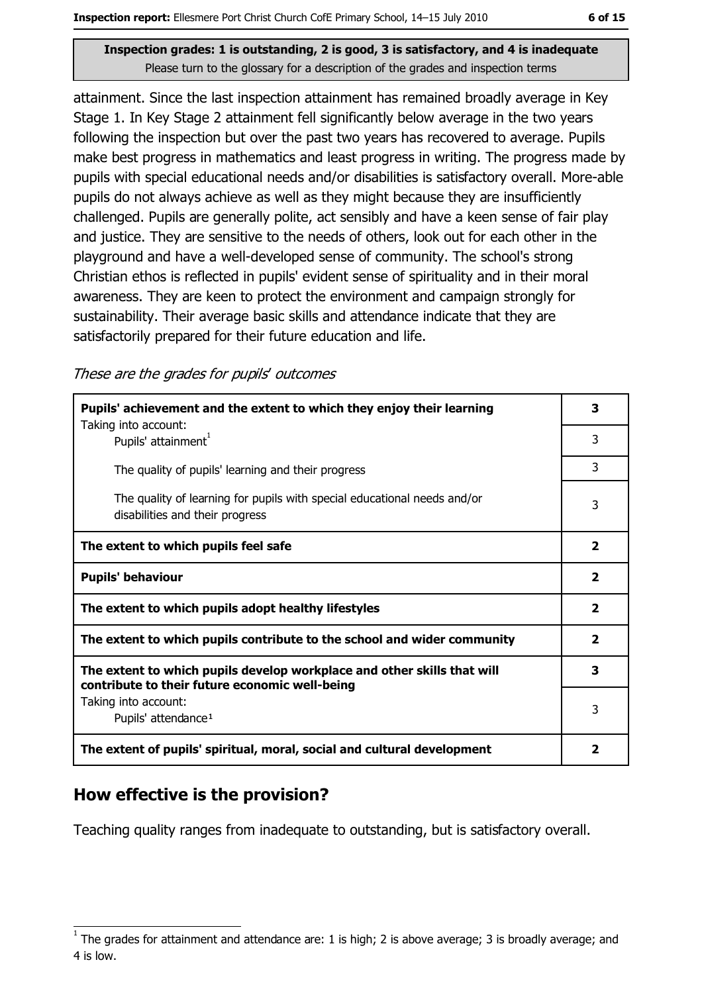attainment. Since the last inspection attainment has remained broadly average in Key Stage 1. In Key Stage 2 attainment fell significantly below average in the two years following the inspection but over the past two years has recovered to average. Pupils make best progress in mathematics and least progress in writing. The progress made by pupils with special educational needs and/or disabilities is satisfactory overall. More-able pupils do not always achieve as well as they might because they are insufficiently challenged. Pupils are generally polite, act sensibly and have a keen sense of fair play and justice. They are sensitive to the needs of others, look out for each other in the playground and have a well-developed sense of community. The school's strong Christian ethos is reflected in pupils' evident sense of spirituality and in their moral awareness. They are keen to protect the environment and campaign strongly for sustainability. Their average basic skills and attendance indicate that they are satisfactorily prepared for their future education and life.

These are the grades for pupils' outcomes

| Pupils' achievement and the extent to which they enjoy their learning                                                     |                         |  |
|---------------------------------------------------------------------------------------------------------------------------|-------------------------|--|
| Taking into account:<br>Pupils' attainment <sup>1</sup>                                                                   | 3                       |  |
| The quality of pupils' learning and their progress                                                                        | 3                       |  |
| The quality of learning for pupils with special educational needs and/or<br>disabilities and their progress               | 3                       |  |
| The extent to which pupils feel safe                                                                                      | $\overline{2}$          |  |
| <b>Pupils' behaviour</b>                                                                                                  | $\overline{\mathbf{2}}$ |  |
| The extent to which pupils adopt healthy lifestyles                                                                       | $\overline{\mathbf{2}}$ |  |
| The extent to which pupils contribute to the school and wider community                                                   | $\overline{\mathbf{2}}$ |  |
| The extent to which pupils develop workplace and other skills that will<br>contribute to their future economic well-being |                         |  |
| Taking into account:<br>Pupils' attendance <sup>1</sup>                                                                   | 3                       |  |
| The extent of pupils' spiritual, moral, social and cultural development                                                   | $\overline{\mathbf{2}}$ |  |

## How effective is the provision?

Teaching quality ranges from inadequate to outstanding, but is satisfactory overall.

The grades for attainment and attendance are: 1 is high; 2 is above average; 3 is broadly average; and 4 is low.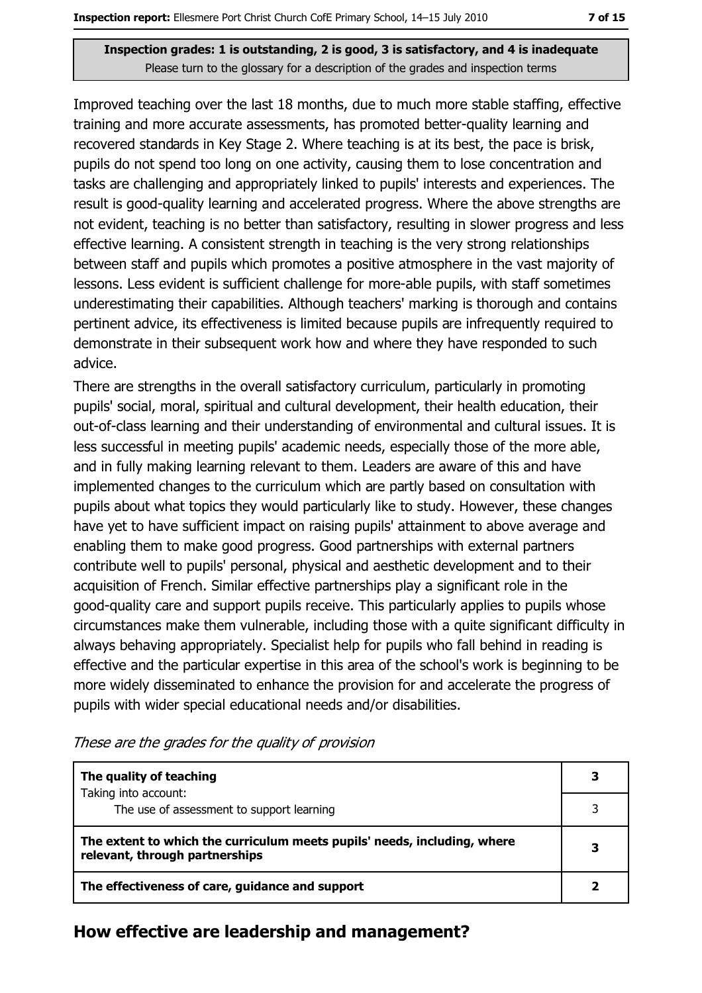Improved teaching over the last 18 months, due to much more stable staffing, effective training and more accurate assessments, has promoted better-quality learning and recovered standards in Key Stage 2. Where teaching is at its best, the pace is brisk, pupils do not spend too long on one activity, causing them to lose concentration and tasks are challenging and appropriately linked to pupils' interests and experiences. The result is good-quality learning and accelerated progress. Where the above strengths are not evident, teaching is no better than satisfactory, resulting in slower progress and less effective learning. A consistent strength in teaching is the very strong relationships between staff and pupils which promotes a positive atmosphere in the vast majority of lessons. Less evident is sufficient challenge for more-able pupils, with staff sometimes underestimating their capabilities. Although teachers' marking is thorough and contains pertinent advice, its effectiveness is limited because pupils are infrequently required to demonstrate in their subsequent work how and where they have responded to such advice.

There are strengths in the overall satisfactory curriculum, particularly in promoting pupils' social, moral, spiritual and cultural development, their health education, their out-of-class learning and their understanding of environmental and cultural issues. It is less successful in meeting pupils' academic needs, especially those of the more able, and in fully making learning relevant to them. Leaders are aware of this and have implemented changes to the curriculum which are partly based on consultation with pupils about what topics they would particularly like to study. However, these changes have yet to have sufficient impact on raising pupils' attainment to above average and enabling them to make good progress. Good partnerships with external partners contribute well to pupils' personal, physical and aesthetic development and to their acquisition of French. Similar effective partnerships play a significant role in the good-quality care and support pupils receive. This particularly applies to pupils whose circumstances make them vulnerable, including those with a quite significant difficulty in always behaving appropriately. Specialist help for pupils who fall behind in reading is effective and the particular expertise in this area of the school's work is beginning to be more widely disseminated to enhance the provision for and accelerate the progress of pupils with wider special educational needs and/or disabilities.

| The quality of teaching                                                                                    | 3 |
|------------------------------------------------------------------------------------------------------------|---|
| Taking into account:<br>The use of assessment to support learning                                          |   |
| The extent to which the curriculum meets pupils' needs, including, where<br>relevant, through partnerships | 3 |
|                                                                                                            |   |

These are the grades for the quality of provision

#### How effective are leadership and management?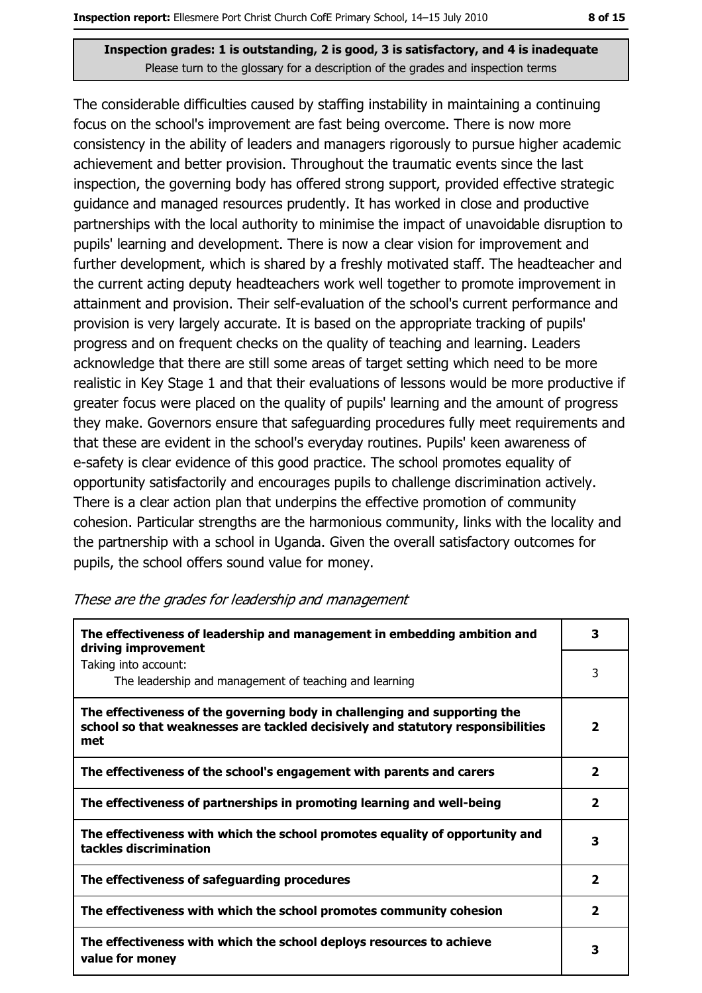The considerable difficulties caused by staffing instability in maintaining a continuing focus on the school's improvement are fast being overcome. There is now more consistency in the ability of leaders and managers rigorously to pursue higher academic achievement and better provision. Throughout the traumatic events since the last inspection, the governing body has offered strong support, provided effective strategic quidance and managed resources prudently. It has worked in close and productive partnerships with the local authority to minimise the impact of unavoidable disruption to pupils' learning and development. There is now a clear vision for improvement and further development, which is shared by a freshly motivated staff. The headteacher and the current acting deputy headteachers work well together to promote improvement in attainment and provision. Their self-evaluation of the school's current performance and provision is very largely accurate. It is based on the appropriate tracking of pupils' progress and on frequent checks on the quality of teaching and learning. Leaders acknowledge that there are still some areas of target setting which need to be more realistic in Key Stage 1 and that their evaluations of lessons would be more productive if greater focus were placed on the quality of pupils' learning and the amount of progress they make. Governors ensure that safeguarding procedures fully meet requirements and that these are evident in the school's everyday routines. Pupils' keen awareness of e-safety is clear evidence of this good practice. The school promotes equality of opportunity satisfactorily and encourages pupils to challenge discrimination actively. There is a clear action plan that underpins the effective promotion of community cohesion. Particular strengths are the harmonious community, links with the locality and the partnership with a school in Uganda. Given the overall satisfactory outcomes for pupils, the school offers sound value for money.

| The effectiveness of leadership and management in embedding ambition and<br>driving improvement                                                                     |                         |  |  |
|---------------------------------------------------------------------------------------------------------------------------------------------------------------------|-------------------------|--|--|
| Taking into account:<br>The leadership and management of teaching and learning                                                                                      | 3                       |  |  |
| The effectiveness of the governing body in challenging and supporting the<br>school so that weaknesses are tackled decisively and statutory responsibilities<br>met | $\overline{\mathbf{2}}$ |  |  |
| The effectiveness of the school's engagement with parents and carers                                                                                                | $\overline{\mathbf{2}}$ |  |  |
| The effectiveness of partnerships in promoting learning and well-being                                                                                              | $\overline{\mathbf{2}}$ |  |  |
| The effectiveness with which the school promotes equality of opportunity and<br>tackles discrimination                                                              | 3                       |  |  |
| The effectiveness of safeguarding procedures                                                                                                                        | $\overline{\mathbf{2}}$ |  |  |
| The effectiveness with which the school promotes community cohesion                                                                                                 | $\overline{\mathbf{2}}$ |  |  |
| The effectiveness with which the school deploys resources to achieve<br>value for money                                                                             | 3                       |  |  |

#### These are the grades for leadership and management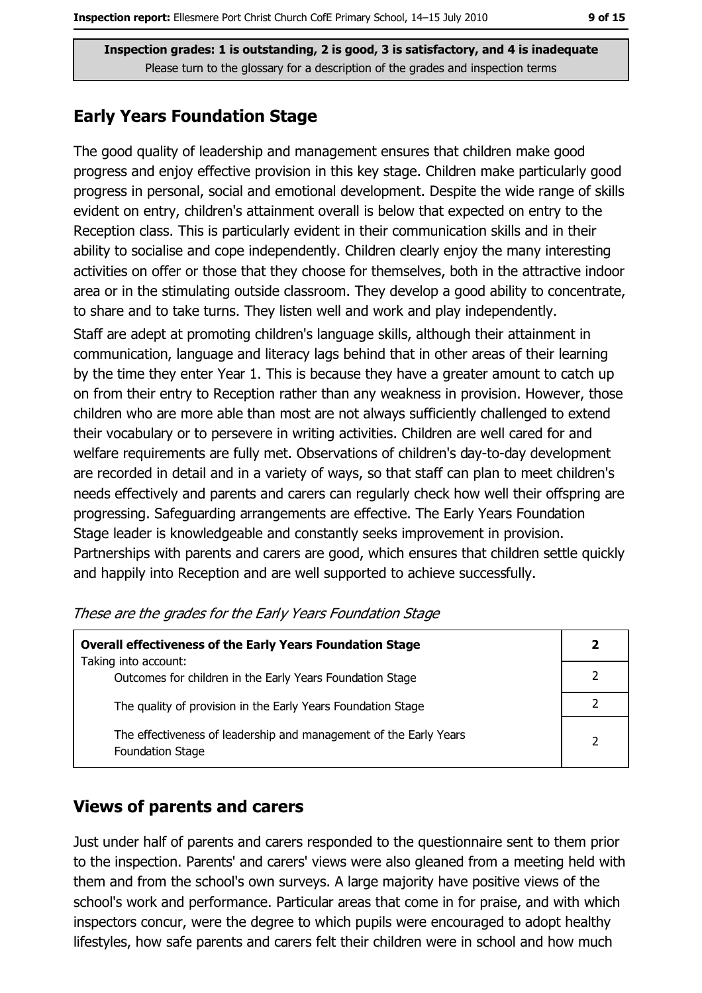## **Early Years Foundation Stage**

The good quality of leadership and management ensures that children make good progress and enjoy effective provision in this key stage. Children make particularly good progress in personal, social and emotional development. Despite the wide range of skills evident on entry, children's attainment overall is below that expected on entry to the Reception class. This is particularly evident in their communication skills and in their ability to socialise and cope independently. Children clearly enjoy the many interesting activities on offer or those that they choose for themselves, both in the attractive indoor area or in the stimulating outside classroom. They develop a good ability to concentrate, to share and to take turns. They listen well and work and play independently.

Staff are adept at promoting children's language skills, although their attainment in communication, language and literacy lags behind that in other areas of their learning by the time they enter Year 1. This is because they have a greater amount to catch up on from their entry to Reception rather than any weakness in provision. However, those children who are more able than most are not always sufficiently challenged to extend their vocabulary or to persevere in writing activities. Children are well cared for and welfare requirements are fully met. Observations of children's day-to-day development are recorded in detail and in a variety of ways, so that staff can plan to meet children's needs effectively and parents and carers can regularly check how well their offspring are progressing. Safeguarding arrangements are effective. The Early Years Foundation Stage leader is knowledgeable and constantly seeks improvement in provision. Partnerships with parents and carers are good, which ensures that children settle quickly and happily into Reception and are well supported to achieve successfully.

| <b>Overall effectiveness of the Early Years Foundation Stage</b><br>Taking into account:     | 2              |
|----------------------------------------------------------------------------------------------|----------------|
| Outcomes for children in the Early Years Foundation Stage                                    |                |
| The quality of provision in the Early Years Foundation Stage                                 |                |
| The effectiveness of leadership and management of the Early Years<br><b>Foundation Stage</b> | $\overline{2}$ |

|  | These are the grades for the Early Years Foundation Stage |
|--|-----------------------------------------------------------|
|--|-----------------------------------------------------------|

# **Views of parents and carers**

Just under half of parents and carers responded to the questionnaire sent to them prior to the inspection. Parents' and carers' views were also gleaned from a meeting held with them and from the school's own surveys. A large majority have positive views of the school's work and performance. Particular areas that come in for praise, and with which inspectors concur, were the degree to which pupils were encouraged to adopt healthy lifestyles, how safe parents and carers felt their children were in school and how much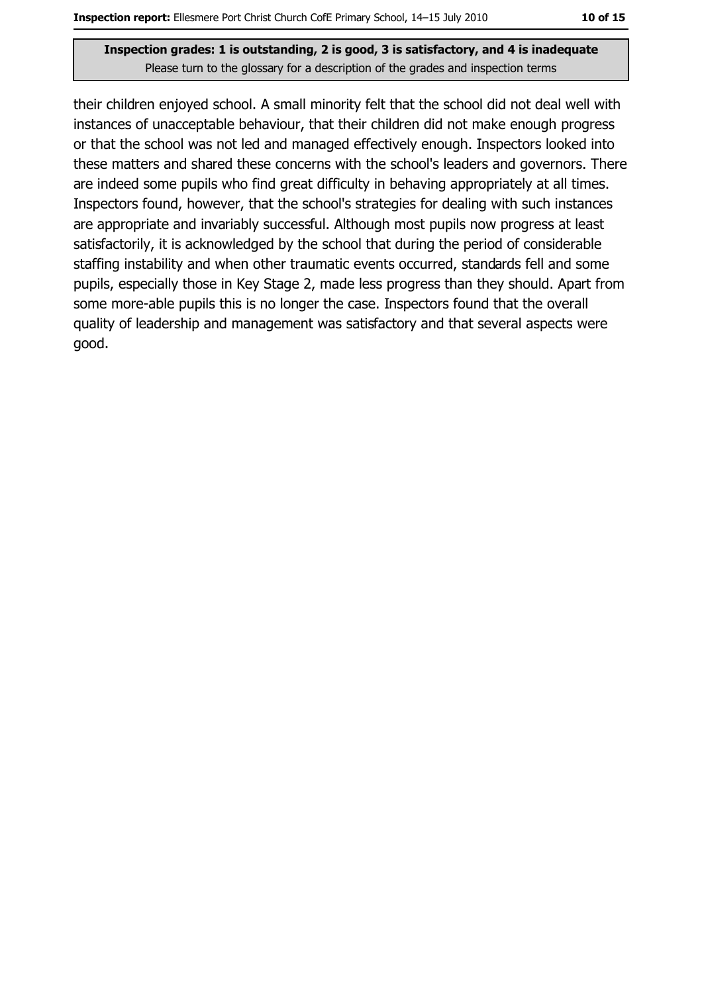their children enjoyed school. A small minority felt that the school did not deal well with instances of unacceptable behaviour, that their children did not make enough progress or that the school was not led and managed effectively enough. Inspectors looked into these matters and shared these concerns with the school's leaders and governors. There are indeed some pupils who find great difficulty in behaving appropriately at all times. Inspectors found, however, that the school's strategies for dealing with such instances are appropriate and invariably successful. Although most pupils now progress at least satisfactorily, it is acknowledged by the school that during the period of considerable staffing instability and when other traumatic events occurred, standards fell and some pupils, especially those in Key Stage 2, made less progress than they should. Apart from some more-able pupils this is no longer the case. Inspectors found that the overall quality of leadership and management was satisfactory and that several aspects were good.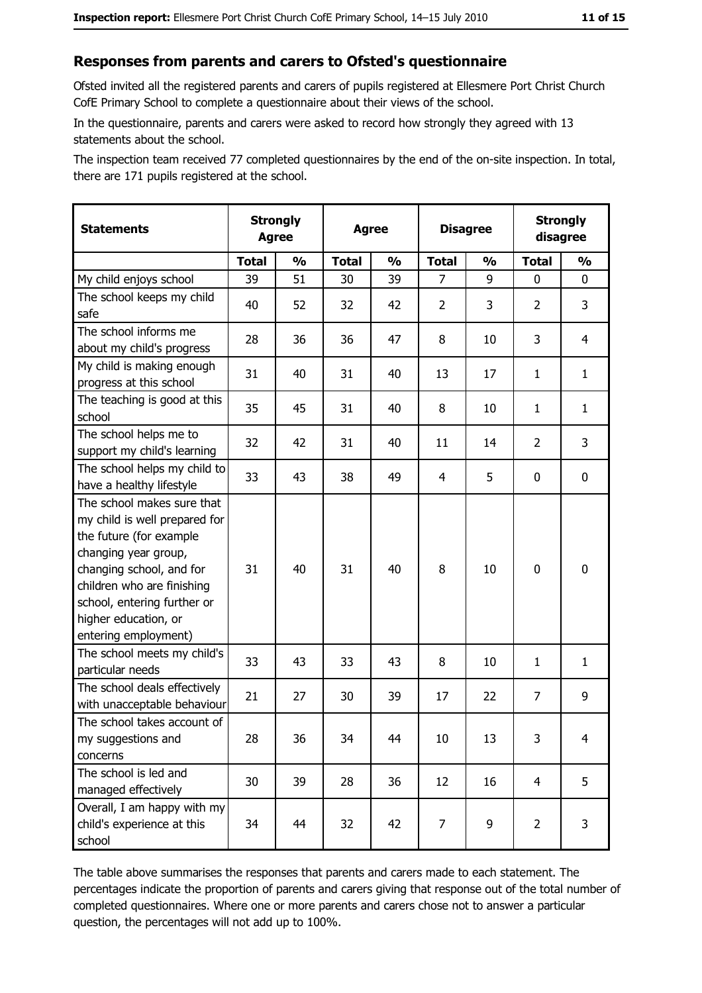#### Responses from parents and carers to Ofsted's questionnaire

Ofsted invited all the registered parents and carers of pupils registered at Ellesmere Port Christ Church CofE Primary School to complete a questionnaire about their views of the school.

In the questionnaire, parents and carers were asked to record how strongly they agreed with 13 statements about the school.

The inspection team received 77 completed questionnaires by the end of the on-site inspection. In total, there are 171 pupils registered at the school.

| <b>Statements</b>                                                                                                                                                                                                                                       | <b>Strongly</b><br><b>Agree</b> |               |              | <b>Agree</b>  |                | <b>Disagree</b> |                | <b>Strongly</b><br>disagree |
|---------------------------------------------------------------------------------------------------------------------------------------------------------------------------------------------------------------------------------------------------------|---------------------------------|---------------|--------------|---------------|----------------|-----------------|----------------|-----------------------------|
|                                                                                                                                                                                                                                                         | <b>Total</b>                    | $\frac{1}{2}$ | <b>Total</b> | $\frac{0}{0}$ | <b>Total</b>   | $\frac{0}{0}$   | <b>Total</b>   | $\frac{1}{2}$               |
| My child enjoys school                                                                                                                                                                                                                                  | 39                              | 51            | 30           | 39            | 7              | 9               | 0              | $\mathbf 0$                 |
| The school keeps my child<br>safe                                                                                                                                                                                                                       | 40                              | 52            | 32           | 42            | $\overline{2}$ | 3               | $\overline{2}$ | 3                           |
| The school informs me<br>about my child's progress                                                                                                                                                                                                      | 28                              | 36            | 36           | 47            | 8              | 10              | 3              | 4                           |
| My child is making enough<br>progress at this school                                                                                                                                                                                                    | 31                              | 40            | 31           | 40            | 13             | 17              | 1              | $\mathbf{1}$                |
| The teaching is good at this<br>school                                                                                                                                                                                                                  | 35                              | 45            | 31           | 40            | 8              | 10              | 1              | $\mathbf{1}$                |
| The school helps me to<br>support my child's learning                                                                                                                                                                                                   | 32                              | 42            | 31           | 40            | 11             | 14              | $\overline{2}$ | 3                           |
| The school helps my child to<br>have a healthy lifestyle                                                                                                                                                                                                | 33                              | 43            | 38           | 49            | $\overline{4}$ | 5               | 0              | $\mathbf 0$                 |
| The school makes sure that<br>my child is well prepared for<br>the future (for example<br>changing year group,<br>changing school, and for<br>children who are finishing<br>school, entering further or<br>higher education, or<br>entering employment) | 31                              | 40            | 31           | 40            | 8              | 10              | $\mathbf 0$    | $\mathbf 0$                 |
| The school meets my child's<br>particular needs                                                                                                                                                                                                         | 33                              | 43            | 33           | 43            | 8              | 10              | 1              | $\mathbf{1}$                |
| The school deals effectively<br>with unacceptable behaviour                                                                                                                                                                                             | 21                              | 27            | 30           | 39            | 17             | 22              | $\overline{7}$ | 9                           |
| The school takes account of<br>my suggestions and<br>concerns                                                                                                                                                                                           | 28                              | 36            | 34           | 44            | 10             | 13              | 3              | $\overline{4}$              |
| The school is led and<br>managed effectively                                                                                                                                                                                                            | 30                              | 39            | 28           | 36            | 12             | 16              | $\overline{4}$ | 5                           |
| Overall, I am happy with my<br>child's experience at this<br>school                                                                                                                                                                                     | 34                              | 44            | 32           | 42            | $\overline{7}$ | 9               | $\overline{2}$ | 3                           |

The table above summarises the responses that parents and carers made to each statement. The percentages indicate the proportion of parents and carers giving that response out of the total number of completed questionnaires. Where one or more parents and carers chose not to answer a particular question, the percentages will not add up to 100%.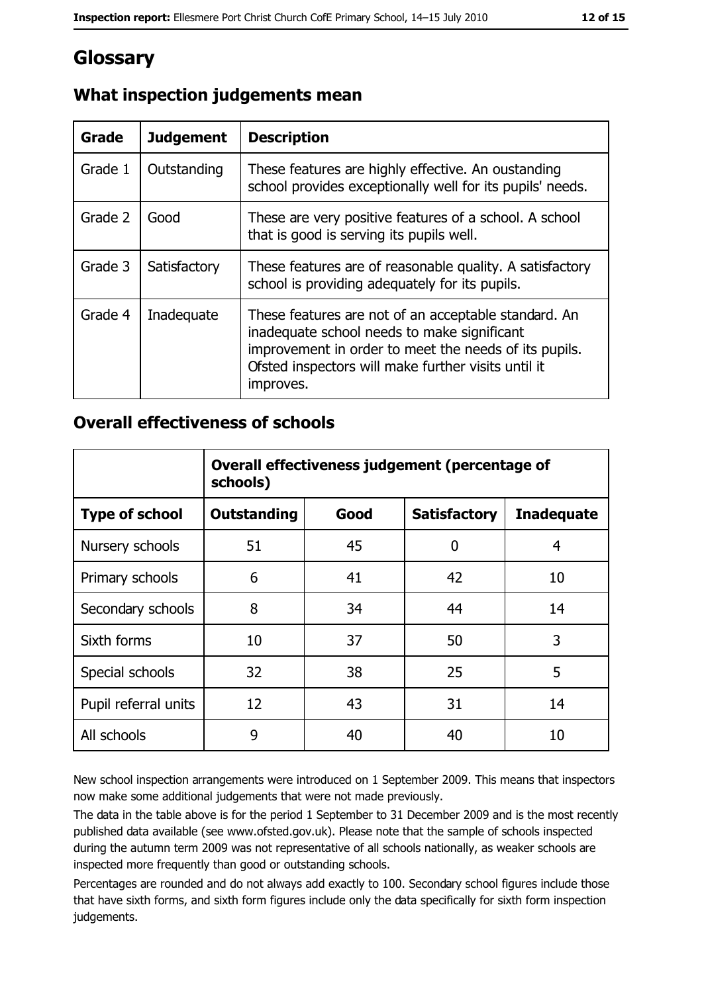# Glossary

| <b>Grade</b> | <b>Judgement</b> | <b>Description</b>                                                                                                                                                                                                               |
|--------------|------------------|----------------------------------------------------------------------------------------------------------------------------------------------------------------------------------------------------------------------------------|
| Grade 1      | Outstanding      | These features are highly effective. An oustanding<br>school provides exceptionally well for its pupils' needs.                                                                                                                  |
| Grade 2      | Good             | These are very positive features of a school. A school<br>that is good is serving its pupils well.                                                                                                                               |
| Grade 3      | Satisfactory     | These features are of reasonable quality. A satisfactory<br>school is providing adequately for its pupils.                                                                                                                       |
| Grade 4      | Inadequate       | These features are not of an acceptable standard. An<br>inadequate school needs to make significant<br>improvement in order to meet the needs of its pupils.<br>Ofsted inspectors will make further visits until it<br>improves. |

# What inspection judgements mean

## **Overall effectiveness of schools**

|                       | Overall effectiveness judgement (percentage of<br>schools) |      |                     |                   |  |
|-----------------------|------------------------------------------------------------|------|---------------------|-------------------|--|
| <b>Type of school</b> | <b>Outstanding</b>                                         | Good | <b>Satisfactory</b> | <b>Inadequate</b> |  |
| Nursery schools       | 51                                                         | 45   | O                   | 4                 |  |
| Primary schools       | 6                                                          | 41   | 42                  | 10                |  |
| Secondary schools     | 8                                                          | 34   | 44                  | 14                |  |
| Sixth forms           | 10                                                         | 37   | 50                  | 3                 |  |
| Special schools       | 32                                                         | 38   | 25                  | 5                 |  |
| Pupil referral units  | 12                                                         | 43   | 31                  | 14                |  |
| All schools           | 9                                                          | 40   | 40                  | 10                |  |

New school inspection arrangements were introduced on 1 September 2009. This means that inspectors now make some additional judgements that were not made previously.

The data in the table above is for the period 1 September to 31 December 2009 and is the most recently published data available (see www.ofsted.gov.uk). Please note that the sample of schools inspected during the autumn term 2009 was not representative of all schools nationally, as weaker schools are inspected more frequently than good or outstanding schools.

Percentages are rounded and do not always add exactly to 100. Secondary school figures include those that have sixth forms, and sixth form figures include only the data specifically for sixth form inspection judgements.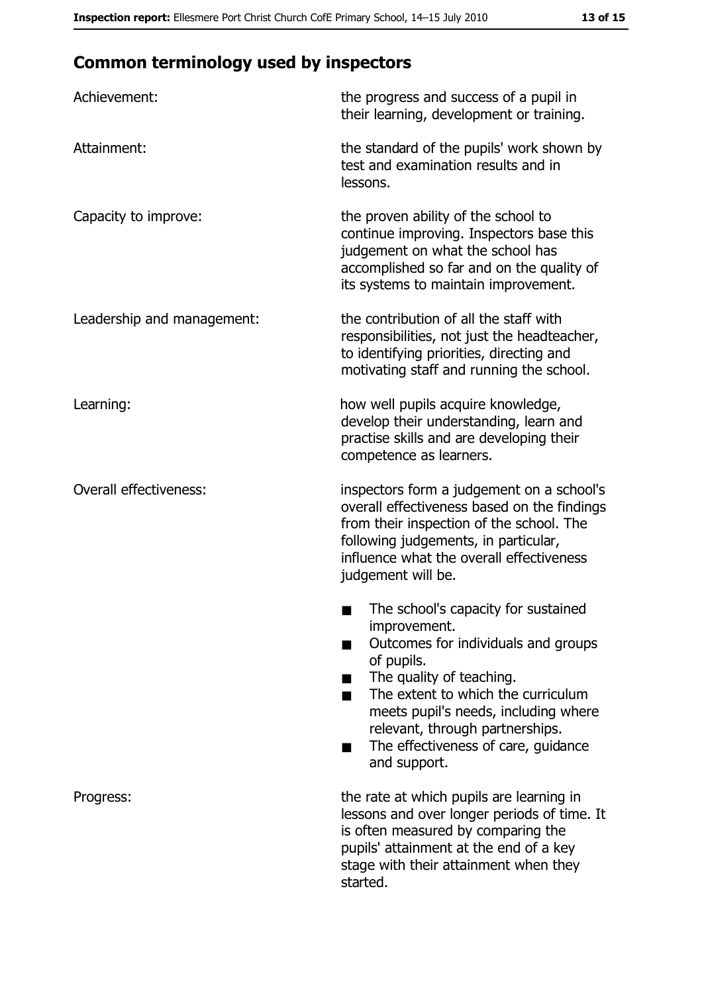# **Common terminology used by inspectors**

| Achievement:                  | the progress and success of a pupil in<br>their learning, development or training.                                                                                                                                                                                                                           |
|-------------------------------|--------------------------------------------------------------------------------------------------------------------------------------------------------------------------------------------------------------------------------------------------------------------------------------------------------------|
| Attainment:                   | the standard of the pupils' work shown by<br>test and examination results and in<br>lessons.                                                                                                                                                                                                                 |
| Capacity to improve:          | the proven ability of the school to<br>continue improving. Inspectors base this<br>judgement on what the school has<br>accomplished so far and on the quality of<br>its systems to maintain improvement.                                                                                                     |
| Leadership and management:    | the contribution of all the staff with<br>responsibilities, not just the headteacher,<br>to identifying priorities, directing and<br>motivating staff and running the school.                                                                                                                                |
| Learning:                     | how well pupils acquire knowledge,<br>develop their understanding, learn and<br>practise skills and are developing their<br>competence as learners.                                                                                                                                                          |
| <b>Overall effectiveness:</b> | inspectors form a judgement on a school's<br>overall effectiveness based on the findings<br>from their inspection of the school. The<br>following judgements, in particular,<br>influence what the overall effectiveness<br>judgement will be.                                                               |
|                               | The school's capacity for sustained<br>improvement.<br>Outcomes for individuals and groups<br>of pupils.<br>The quality of teaching.<br>The extent to which the curriculum<br>meets pupil's needs, including where<br>relevant, through partnerships.<br>The effectiveness of care, guidance<br>and support. |
| Progress:                     | the rate at which pupils are learning in<br>lessons and over longer periods of time. It<br>is often measured by comparing the<br>pupils' attainment at the end of a key<br>stage with their attainment when they<br>started.                                                                                 |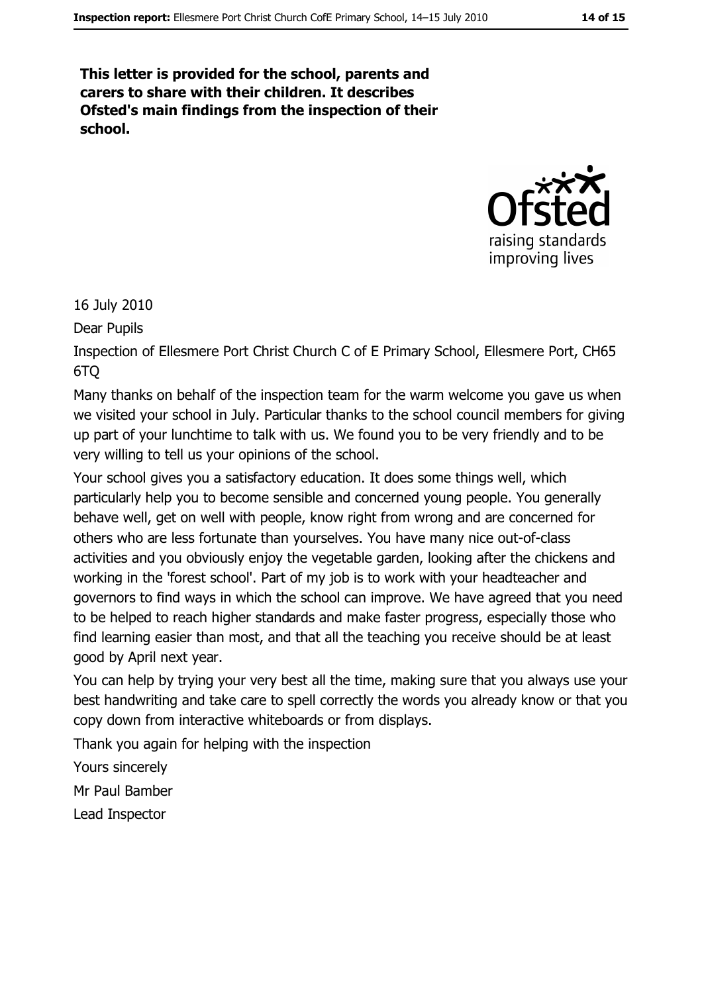This letter is provided for the school, parents and carers to share with their children. It describes Ofsted's main findings from the inspection of their school.



16 July 2010

Dear Pupils

Inspection of Ellesmere Port Christ Church C of E Primary School, Ellesmere Port, CH65 6TO

Many thanks on behalf of the inspection team for the warm welcome you gave us when we visited your school in July. Particular thanks to the school council members for giving up part of your lunchtime to talk with us. We found you to be very friendly and to be very willing to tell us your opinions of the school.

Your school gives you a satisfactory education. It does some things well, which particularly help you to become sensible and concerned young people. You generally behave well, get on well with people, know right from wrong and are concerned for others who are less fortunate than yourselves. You have many nice out-of-class activities and you obviously enjoy the vegetable garden, looking after the chickens and working in the 'forest school'. Part of my job is to work with your headteacher and governors to find ways in which the school can improve. We have agreed that you need to be helped to reach higher standards and make faster progress, especially those who find learning easier than most, and that all the teaching you receive should be at least good by April next year.

You can help by trying your very best all the time, making sure that you always use your best handwriting and take care to spell correctly the words you already know or that you copy down from interactive whiteboards or from displays.

Thank you again for helping with the inspection

Yours sincerely

Mr Paul Bamber

Lead Inspector